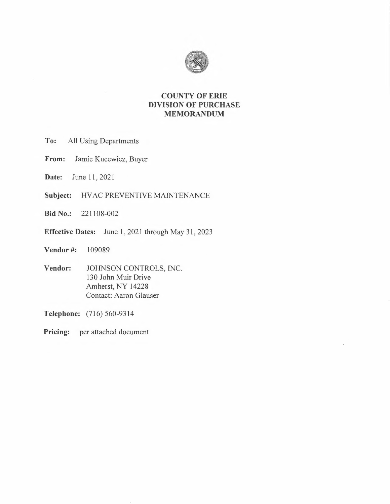

# **COUNTY OF ERIE DIVISION OF PURCHASE MEMORANDUM**

- **To:** All Using Departments
- **From:** Jamie Kucewicz, Buyer
- **Date:** June 11, 2021
- **Subject:** HV AC PREVENTIVE MAINTENANCE
- **Bid No.:** 221108-002
- **Effective Dates:** June 1, 2021 through May 31, 2023
- **Vendor** #: 109089
- **Vendor:** JOHNSON CONTROLS, INC. 130 John Muir Drive Amherst, NY 14228 Contact: Aaron Glauser

**Telephone:** (716) 560-9314

**Pricing:** per attached document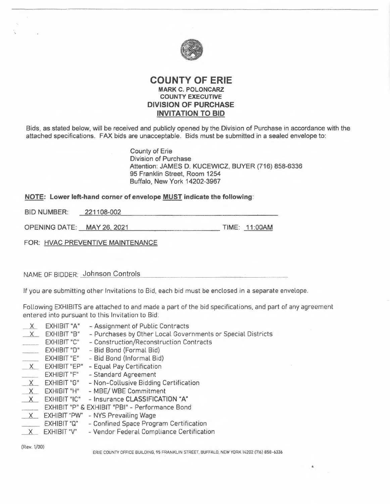

## **COUNTY OF ERIE MARK C. POLONCARZ COUNTY EXECUTIVE DIVISION OF PURCHASE INVITATION TO BID**

Bids, as stated below, will be received and publícly opened by the Division of Purchase in accordance with the attached specifications. FAX bids are unacceptable. Bids must be submitted in a sealed envelope to:

> County of Erie Division of Purchase Attention: JAMES D. KUCEWICZ, BUYER (716) 858-6336 95 Franklin Street, Room 1254 Buffalo, New York 14202-3967

### **NOTE: Lower left-hand corner of envelope MUST indicate the following:**

BID NUMBER: 221108-002

OPENING DATE: \_ MAY 26, 2021 TIME: 11:00AM

FOR: HVAC PREVENTIVE MAINTENANCE

NAME OF BIDDER: Johnson Controls

If you are submitting other Invitations to Bid, each bid must be enclosed in a separate envelope.

Following EXHIBITS are attached to and made a part of the bid specifications. and part of any agreement entered into pursuant to this Invitation to Bid:

- 
- $X$  EXHIBIT "A" Assignment of Public Contracts<br> $X$  EXHIBIT "B" Purchases by Other Local Gover  $X$  EXHIBIT "B" - Purchases by Other Local Governments or Special Districts<br>EXHIBIT "C" - Construction/Reconstruction Contracts
- EXHIBIT "C" Construction/Reconstruction Contracts<br>EXHIBIT "D" Bid Bond (Formal Bid)
- Bid Bond (Formal Bid)
- EXHIBIT "E" Bid Bond (Informal Bid)
- 
- $\underline{X}$  EXHIBIT "EP" Equal Pay Certification<br>EXHIBIT "F" Standard Agreement - Standard Agreement
- $X$  EXHIBIT "G" Non-Collusive Bidding Certification<br>X EXHIBIT "H" MBE/WBE Commitment
- MBE/ WBE Commitment
- *\_\_l.(\_* EXHIBIT "IC" Insurance **CLASSIFICATION "A"**
- EXHIBIT "P" & EXHIBIT "PBI" Performance Bond<br>
X\_\_\_\_ EXHIBIT "PW" NYS Prevailing Wage
- 
- X EXHIBIT "PW" NYS Prevailing Wage<br>EXHIBIT "Q" Confined Space Program Certification
- X EXHIBIT "V" Vendor Federal Compliance Certification

(Rev. 1/00)

ERIE COUNTY OFFICE BUILDING, 95 FRANKLIN STREET. BUFFALO. NEW YORK 14202 (716) 858-6336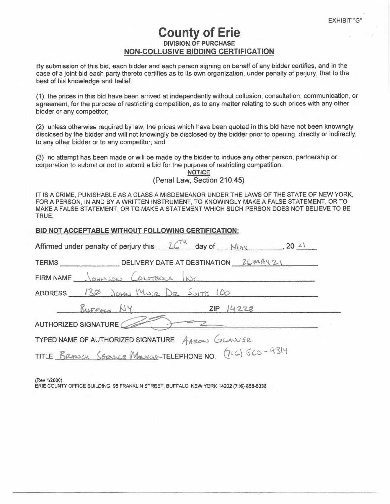# **County of Erie DIVISION ,OF PURCHASE NON-COLLUSIVE BIDDING CERTIFICATION**

By submission of this bid, each bidder and each person signing on behalf of any bidder certifies, and in the case of a joint bid each party thereto certifies as to its own organization, under penalty of perjury, that to the best of his knowledge and belief:

(1) the prices in this bid have been arrived at independently without collusion, consultation, communication, or agreement, for the purpose of restricting competition, as to any matter relating to such prices with any other bídder or any competitor;

(2) unless otherwise required by law, the prices which have been quoted in this bid have not been knowingly disclosed by the bidder and will not knowingly be disclosed by the bidder prior to opening, directly or indirectly, to any other bidder or to any competitor; and

(3) no attempt has been made or will be made by the bidder to induce any other person, partnership or corporation to submit or not to submit a bid for the purpose of restricting competition.

**NOTICE** 

(Penal Law, Section 210.45)

IT IS A CRIME, PUNISHABLE AS A CLASS A MISDEMEANOR UNDER THE LAWS OF THE STATE OF NEW YORK, FOR A PERSON, IN AND BY A WRITTEN INSTRUMENT, TO KNOWINGLY MAKE A FALSE STATEMENT, OR TO MAKE A FALSE STATEMENT, OR TO MAKE A STATEMENT WHICH SUCH PERSON DOES NOT BELIEVE TO BE TRUE.

| BID NOT ACCEPTABLE WITHOUT FOLLOWING CERTIFICATION:                    |  |  |  |  |  |  |  |  |  |
|------------------------------------------------------------------------|--|--|--|--|--|--|--|--|--|
| Affirmed under penalty of perjury this $26^{74}$ day of $M_{AV}$ 20 21 |  |  |  |  |  |  |  |  |  |
|                                                                        |  |  |  |  |  |  |  |  |  |
| FIRM NAME JOHNSON CONTROLS NC.                                         |  |  |  |  |  |  |  |  |  |
| ADDRESS 130 JOHN MULE DR SUITE 100                                     |  |  |  |  |  |  |  |  |  |
| $Bu$ FFNO $My$ ZIP 14228                                               |  |  |  |  |  |  |  |  |  |
| AUTHORIZED SIGNATURE                                                   |  |  |  |  |  |  |  |  |  |
| TYPED NAME OF AUTHORIZED SIGNATURE AARON GLAUSER                       |  |  |  |  |  |  |  |  |  |
| TITLE BRANCH SERVICE MANAGE-TELEPHONE NO. (716) 560-9314               |  |  |  |  |  |  |  |  |  |
|                                                                        |  |  |  |  |  |  |  |  |  |

(Rev.1/2000)

ERIE COUNTY OFFICE BUILDING, 95 FRANKLIN STREET, BUFFALO, NEW YORK 14202 (716) 858-6336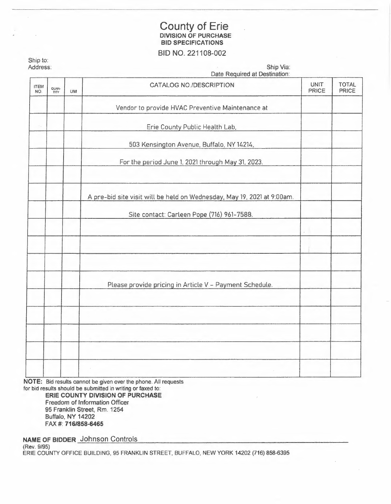# County of Erie **DIVISION OF PURCHASE BID SPECIFICATIONS**

## BID NO. 221108-002

| Address:           |                      |           | Ship Via:<br>Date Required at Destination:                              |                             |                       |  |  |  |
|--------------------|----------------------|-----------|-------------------------------------------------------------------------|-----------------------------|-----------------------|--|--|--|
| <b>ITEM</b><br>NO. | QUAN-<br><b>TITY</b> | <b>UM</b> | CATALOG NO./DESCRIPTION                                                 | <b>UNIT</b><br><b>PRICE</b> | <b>TOTAL</b><br>PRICE |  |  |  |
|                    |                      |           | Vendor to provide HVAC Preventive Maintenance at                        |                             |                       |  |  |  |
|                    |                      |           | Erie County Public Health Lab.                                          |                             |                       |  |  |  |
|                    |                      |           | 503 Kensington Avenue, Buffalo, NY 14214,                               |                             |                       |  |  |  |
|                    |                      |           | For the period June 1, 2021 through May 31, 2023.                       |                             |                       |  |  |  |
|                    |                      |           | A pre-bid site visit will be held on Wednesday, May 19, 2021 at 9:00am. |                             |                       |  |  |  |
|                    |                      |           | Site contact: Carleen Pope (716) 961-7588.                              |                             |                       |  |  |  |
|                    |                      |           |                                                                         |                             |                       |  |  |  |
|                    |                      |           | Please provide pricing in Article V - Payment Schedule.                 |                             |                       |  |  |  |
|                    |                      |           |                                                                         |                             |                       |  |  |  |
|                    |                      |           |                                                                         |                             |                       |  |  |  |
|                    |                      |           |                                                                         |                             |                       |  |  |  |
|                    |                      |           |                                                                         |                             |                       |  |  |  |

**NOTE:** Bid results cannot be given over the phone. All requests for bid results should be submitted in writing or faxed to:

**ERIE COUNTY DIVISION OF PURCHASE**  Freedom of Information Officer 95 Franklin Street, Rm. 1254 Buffalo, NY 14202 FAX#: **716/858-6465** 

**NAME** OF BIDDER Johnson Controls

(Rev. 9/95) ERIE COUNTY OFFICE BUILDING, 95 FRANKLIN STREET, BUFFALO, NEW YORK 14202 (716) 858-6395

Ship to: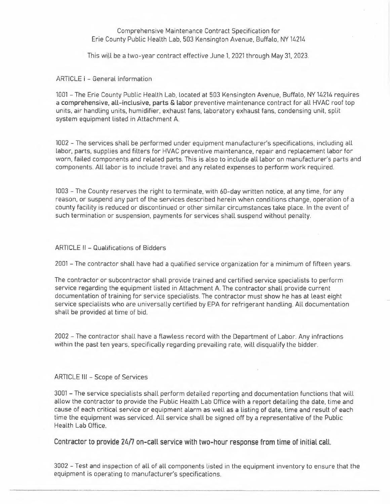### Comprehensive Maintenance Contract Specification for Erie County Public Health Lab, 503 Kensington Avenue, Buffalo. NY 14214

This wlll be a two-year contract effective June 1, 2021 through May 31. 2023.

ARTICLE i - General Information

1001 - The Erie County Public Health Lab, located at 503 Kensington Avenue. Buffalo, NY 14214 requires <sup>a</sup>**comprehensive, all-inclusive, parts** & **labor** preventive maintenance contract for all HVAC roof top units, air handling units, humidifier, exhaust fans, laboratory exhaust fans, condensing unit, split system equipment listed in Attachment A.

1002 - The services shall be performed under equipment manufacturer's specifications, including all labor. parts. supplies and filters for HVAC preventive maintenance, repair and replacement labor for worn. failed components and related parts. This is also to include all labor on manufacturer's parts and components. All labor is to include travel and any related expenses to perform work required.

1003 - The County reserves the right to terminate, with 60-day written notice. at any time, for any reason. or suspend any part of the services described herein when conditions change, operation of a county facility is reduced or discontinued or other similar circumstances take place. In the event of such termination or suspension. payments for services shall suspend without penalty.

#### ARTICLE II - Qualifications of Bidders

2001 - The contractor shall have had a qualified service organization for a minimum of fifteen years.

The contractor or subcontractor shall provide trained and certified service specialists to perform service regarding the equipment listed in Attachment A. The contractor shall provide current documentation of training for service specialists. The contractor must show he has at least eight service specialists who are universally certified by EPA for refrigerant handling. All documentation shall be provided at time of bid.

2002 - The contractor shall have a flawless record with the Department of Labor. Any infractions within the past ten years. specifically regarding prevailíng rate, will disqualify the bidder.

#### ARTICLE Ill - Scope of Services

3001 - The service specialists shall perform detailed reporting and documentation functions that will allow the contractor to provide the Public Health Lab Office with a report detailing the date, time and cause of each critical service or equipment alarm as well as a listing of date, time and result of each time the equipment was serviced. All service shall be signed off by a representative of the Public Health Lab Office.

Contractor to provide 24/7 on-call service with two-hour response from time of initial call.

3002 - Test and inspection of all of all components listed in the equipment inventory to ensure that the equipment is operating to manufacturer's specifications.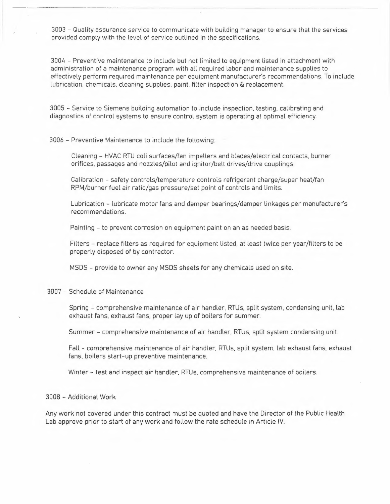3003 - Quality assurance service to communicate with building manager to ensure that the services provided comply with the level of service outlined in the specifications.

3004 - Preventive maintenance to include but not limited to equipment listed in attachment with administration of a maintenance program with all required labor and maintenance supplies to effectively perform required maintenance per equipment manufacturer's recommendations. To include lubrication, chemicals. cleaning supplies. paint, filter inspection & replacement.

3005 - Service to Siemens building automation to include inspection, testing, calibrating and diagnostics of control systems to ensure control system is operating at optimal efficiency.

#### 3006 - Preventive Maintenance to include the following:

Cleaning - HVAC RTU coli surfaces/fan impellers and blades/electrical contacts, burner orifices, passages and nozzles/pilot and ignitor/belt drives/drive couplings.

Calibration - safety controls/temperature controls refrigerant charge/super heat/fan RPM/burner fuel air ratio/gas pressure/set point of controls and limits.

Lubrication - lubricate motor fans and damper bearings/damper linkages per manufacturer's recommendations.

Painting - to prevent corrosion on equipment paint on an as needed basis.

Filters - replace filters as required for equipment listed, at least twice per year/filters to be properly disposed of by contractor.

MSDS - provide to owner any MSDS sheets for any chemicals used on site.

#### 3007 - Schedule of Maintenance

Spring - comprehensive maintenance of air handler, RTUs, split system, condensing unit. lab exhaust fans, exhaust fans, proper lay up of boilers for summer.

Summer - comprehensive maintenance of air handler, RTUs, split system condensing unit.

Fall - comprehensive maintenance of air handler, RTUs. split system, lab exhaust fans. exhaust fans. boilers start-up preventive maintenance.

Winter - test and inspect air handler, RTUs, comprehensive maintenance of boilers.

#### 3008 - Additional Work

Any work not covered under this contract must be quoted and have the Director of the Public Health Lab approve prior to start of any work and follow the rate schedule in Article IV.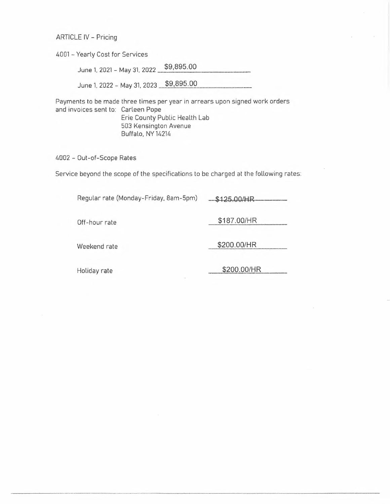#### ARTICLE IV - Pricing

4001 - Yearly Cost for Services

June 1. 2021 - May 31. 2022 **\_\$\_ 9\_,8\_ 9\_ 5.00** 

June 1, 2022 - May 31, 2023 \$9,895.00

Payments to be made three times per year in arrears upon signed work orders and invoices sent to: Carleen Pope Erie County Public Health Lab 503 Kensington Avenue Buffalo, NY 14214

4002 - Out-of-Scope Rates

Service beyond the scope of the specifications to be charged at the following rates:

Regular rate (Monday-Friday. 8am-5pm) **~ot.H-R----**  Off-hour rate **\$187.00/HR**  Weekend rate **\$200.00/HR** Holiday rate **\$200.00/HR**